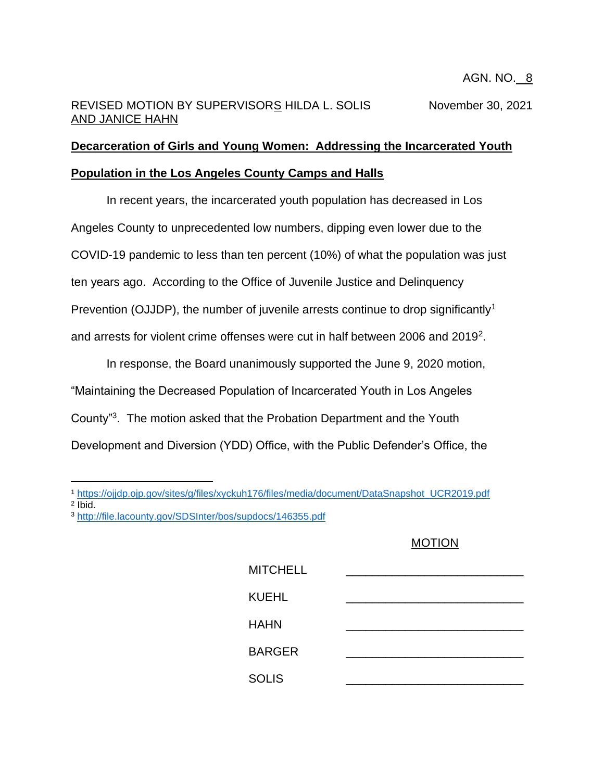# REVISED MOTION BY SUPERVISORS HILDA L. SOLIS November 30, 2021 AND JANICE HAHN

# **Decarceration of Girls and Young Women: Addressing the Incarcerated Youth Population in the Los Angeles County Camps and Halls**

In recent years, the incarcerated youth population has decreased in Los Angeles County to unprecedented low numbers, dipping even lower due to the COVID-19 pandemic to less than ten percent (10%) of what the population was just ten years ago. According to the Office of Juvenile Justice and Delinquency Prevention (OJJDP), the number of juvenile arrests continue to drop significantly<sup>1</sup> and arrests for violent crime offenses were cut in half between 2006 and 2019<sup>2</sup> .

In response, the Board unanimously supported the June 9, 2020 motion, "Maintaining the Decreased Population of Incarcerated Youth in Los Angeles County"<sup>3</sup> . The motion asked that the Probation Department and the Youth Development and Diversion (YDD) Office, with the Public Defender's Office, the

## MOTION

| <b>MITCHELL</b> |  |
|-----------------|--|
| <b>KUEHL</b>    |  |
| <b>HAHN</b>     |  |
| <b>BARGER</b>   |  |
| <b>SOLIS</b>    |  |

<sup>1</sup> [https://ojjdp.ojp.gov/sites/g/files/xyckuh176/files/media/document/DataSnapshot\\_UCR2019.pdf](https://ojjdp.ojp.gov/sites/g/files/xyckuh176/files/media/document/DataSnapshot_UCR2019.pdf)

<sup>2</sup> Ibid.

<sup>3</sup> <http://file.lacounty.gov/SDSInter/bos/supdocs/146355.pdf>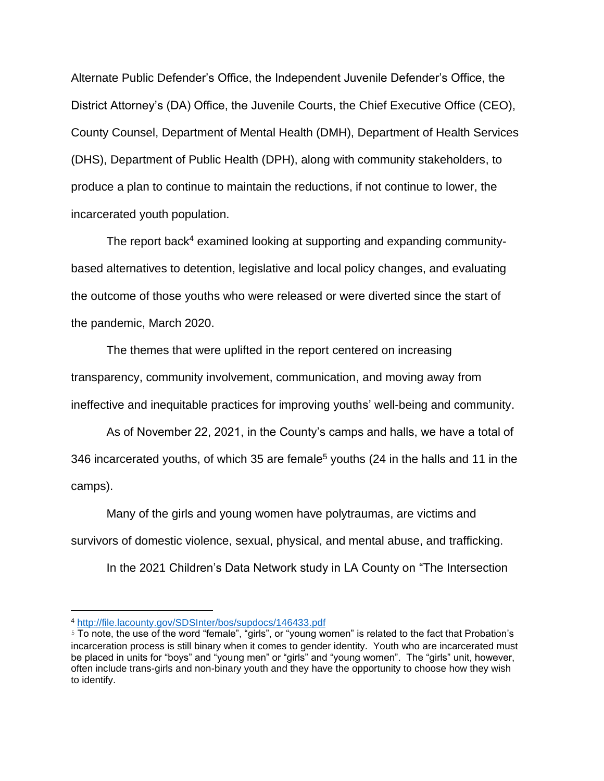Alternate Public Defender's Office, the Independent Juvenile Defender's Office, the District Attorney's (DA) Office, the Juvenile Courts, the Chief Executive Office (CEO), County Counsel, Department of Mental Health (DMH), Department of Health Services (DHS), Department of Public Health (DPH), along with community stakeholders, to produce a plan to continue to maintain the reductions, if not continue to lower, the incarcerated youth population.

The report back<sup>4</sup> examined looking at supporting and expanding communitybased alternatives to detention, legislative and local policy changes, and evaluating the outcome of those youths who were released or were diverted since the start of the pandemic, March 2020.

The themes that were uplifted in the report centered on increasing transparency, community involvement, communication, and moving away from ineffective and inequitable practices for improving youths' well-being and community.

As of November 22, 2021, in the County's camps and halls, we have a total of 346 incarcerated youths, of which 35 are female<sup>5</sup> youths (24 in the halls and 11 in the camps).

Many of the girls and young women have polytraumas, are victims and survivors of domestic violence, sexual, physical, and mental abuse, and trafficking.

In the 2021 Children's Data Network study in LA County on "The Intersection

<sup>4</sup> <http://file.lacounty.gov/SDSInter/bos/supdocs/146433.pdf>

<sup>5</sup> To note, the use of the word "female", "girls", or "young women" is related to the fact that Probation's incarceration process is still binary when it comes to gender identity. Youth who are incarcerated must be placed in units for "boys" and "young men" or "girls" and "young women". The "girls" unit, however, often include trans-girls and non-binary youth and they have the opportunity to choose how they wish to identify.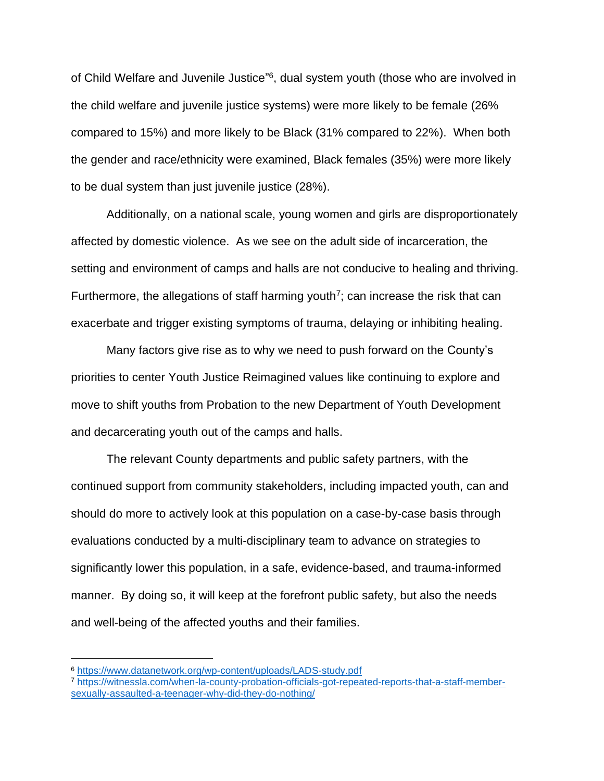of Child Welfare and Juvenile Justice"<sup>6</sup>, dual system youth (those who are involved in the child welfare and juvenile justice systems) were more likely to be female (26% compared to 15%) and more likely to be Black (31% compared to 22%). When both the gender and race/ethnicity were examined, Black females (35%) were more likely to be dual system than just juvenile justice (28%).

Additionally, on a national scale, young women and girls are disproportionately affected by domestic violence. As we see on the adult side of incarceration, the setting and environment of camps and halls are not conducive to healing and thriving. Furthermore, the allegations of staff harming youth<sup>7</sup>; can increase the risk that can exacerbate and trigger existing symptoms of trauma, delaying or inhibiting healing.

Many factors give rise as to why we need to push forward on the County's priorities to center Youth Justice Reimagined values like continuing to explore and move to shift youths from Probation to the new Department of Youth Development and decarcerating youth out of the camps and halls.

The relevant County departments and public safety partners, with the continued support from community stakeholders, including impacted youth, can and should do more to actively look at this population on a case-by-case basis through evaluations conducted by a multi-disciplinary team to advance on strategies to significantly lower this population, in a safe, evidence-based, and trauma-informed manner. By doing so, it will keep at the forefront public safety, but also the needs and well-being of the affected youths and their families.

<sup>6</sup> <https://www.datanetwork.org/wp-content/uploads/LADS-study.pdf>

<sup>7</sup> [https://witnessla.com/when-la-county-probation-officials-got-repeated-reports-that-a-staff-member](https://witnessla.com/when-la-county-probation-officials-got-repeated-reports-that-a-staff-member-sexually-assaulted-a-teenager-why-did-they-do-nothing/)[sexually-assaulted-a-teenager-why-did-they-do-nothing/](https://witnessla.com/when-la-county-probation-officials-got-repeated-reports-that-a-staff-member-sexually-assaulted-a-teenager-why-did-they-do-nothing/)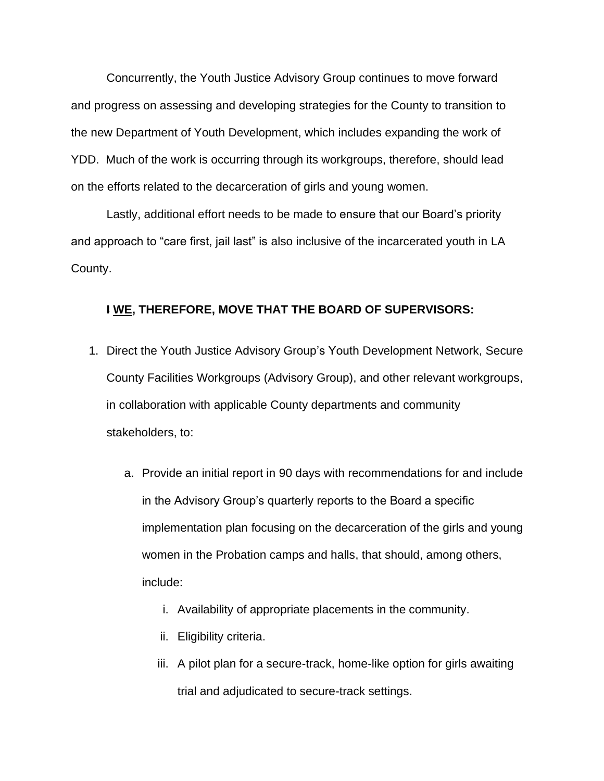Concurrently, the Youth Justice Advisory Group continues to move forward and progress on assessing and developing strategies for the County to transition to the new Department of Youth Development, which includes expanding the work of YDD. Much of the work is occurring through its workgroups, therefore, should lead on the efforts related to the decarceration of girls and young women.

Lastly, additional effort needs to be made to ensure that our Board's priority and approach to "care first, jail last" is also inclusive of the incarcerated youth in LA County.

### **I WE, THEREFORE, MOVE THAT THE BOARD OF SUPERVISORS:**

- 1. Direct the Youth Justice Advisory Group's Youth Development Network, Secure County Facilities Workgroups (Advisory Group), and other relevant workgroups, in collaboration with applicable County departments and community stakeholders, to:
	- a. Provide an initial report in 90 days with recommendations for and include in the Advisory Group's quarterly reports to the Board a specific implementation plan focusing on the decarceration of the girls and young women in the Probation camps and halls, that should, among others, include:
		- i. Availability of appropriate placements in the community.
		- ii. Eligibility criteria.
		- iii. A pilot plan for a secure-track, home-like option for girls awaiting trial and adjudicated to secure-track settings.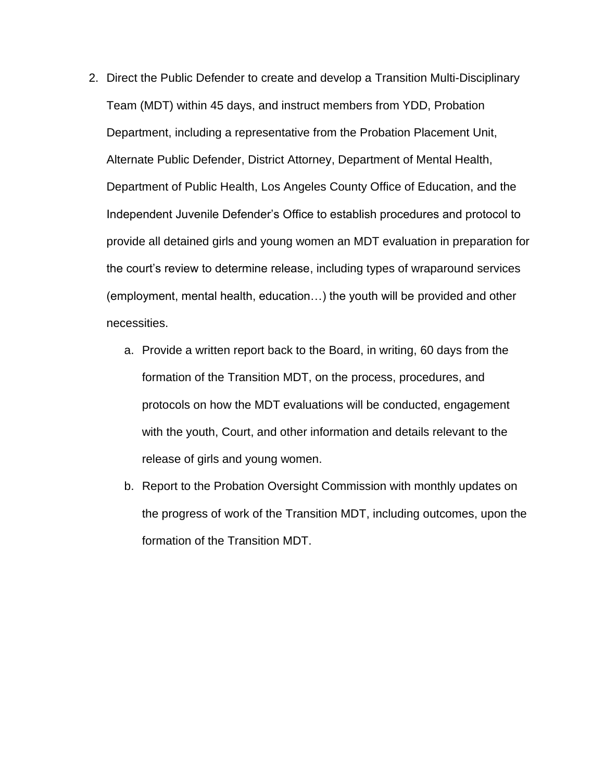- 2. Direct the Public Defender to create and develop a Transition Multi-Disciplinary Team (MDT) within 45 days, and instruct members from YDD, Probation Department, including a representative from the Probation Placement Unit, Alternate Public Defender, District Attorney, Department of Mental Health, Department of Public Health, Los Angeles County Office of Education, and the Independent Juvenile Defender's Office to establish procedures and protocol to provide all detained girls and young women an MDT evaluation in preparation for the court's review to determine release, including types of wraparound services (employment, mental health, education…) the youth will be provided and other necessities.
	- a. Provide a written report back to the Board, in writing, 60 days from the formation of the Transition MDT, on the process, procedures, and protocols on how the MDT evaluations will be conducted, engagement with the youth, Court, and other information and details relevant to the release of girls and young women.
	- b. Report to the Probation Oversight Commission with monthly updates on the progress of work of the Transition MDT, including outcomes, upon the formation of the Transition MDT.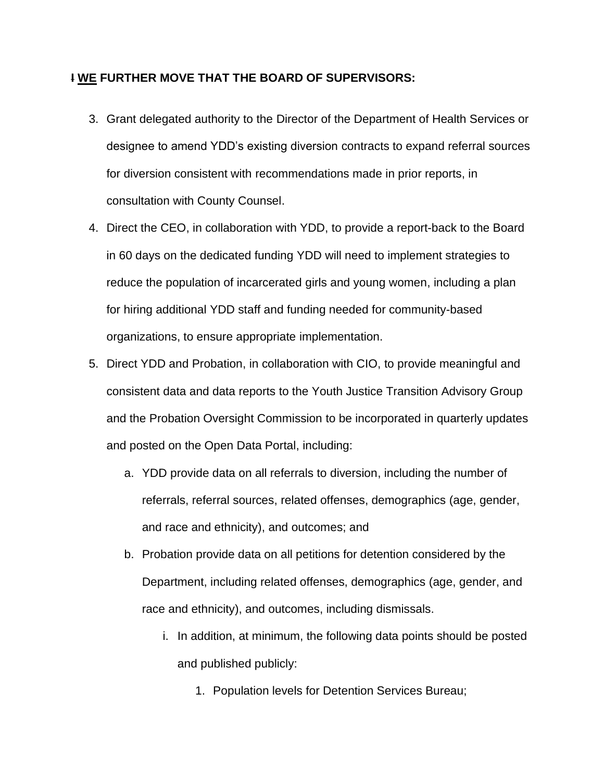### **I WE FURTHER MOVE THAT THE BOARD OF SUPERVISORS:**

- 3. Grant delegated authority to the Director of the Department of Health Services or designee to amend YDD's existing diversion contracts to expand referral sources for diversion consistent with recommendations made in prior reports, in consultation with County Counsel.
- 4. Direct the CEO, in collaboration with YDD, to provide a report-back to the Board in 60 days on the dedicated funding YDD will need to implement strategies to reduce the population of incarcerated girls and young women, including a plan for hiring additional YDD staff and funding needed for community-based organizations, to ensure appropriate implementation.
- 5. Direct YDD and Probation, in collaboration with CIO, to provide meaningful and consistent data and data reports to the Youth Justice Transition Advisory Group and the Probation Oversight Commission to be incorporated in quarterly updates and posted on the Open Data Portal, including:
	- a. YDD provide data on all referrals to diversion, including the number of referrals, referral sources, related offenses, demographics (age, gender, and race and ethnicity), and outcomes; and
	- b. Probation provide data on all petitions for detention considered by the Department, including related offenses, demographics (age, gender, and race and ethnicity), and outcomes, including dismissals.
		- i. In addition, at minimum, the following data points should be posted and published publicly:
			- 1. Population levels for Detention Services Bureau;